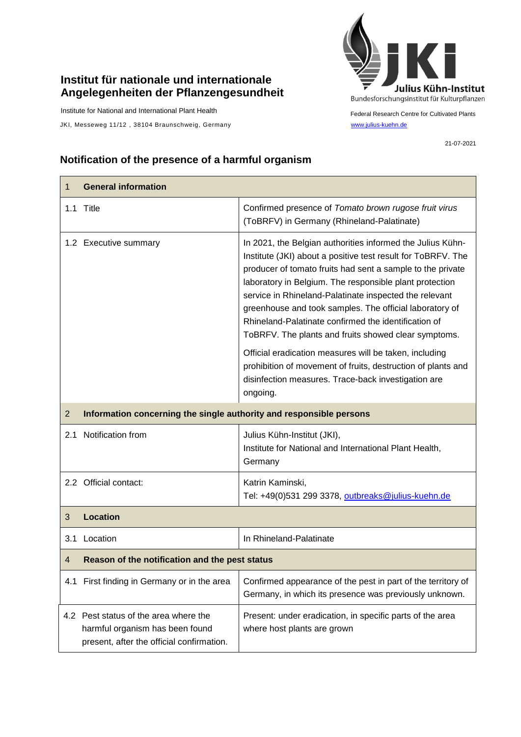## **Institut für nationale und internationale Angelegenheiten der Pflanzengesundheit**

Institute for National and International Plant Health

JKI, Messeweg 11/12, 38104 Braunschweig, Germany [www.julius-kuehn.de](http://www.julius-kuehn.de/)



Federal Research Centre for Cultivated Plants

21-07-2021

## **Notification of the presence of a harmful organism**

| 1              | <b>General information</b>                                                                                            |                                                                                                                                                                                                                                                                                                                                                                                                                                                                                                                                                                                                                    |  |
|----------------|-----------------------------------------------------------------------------------------------------------------------|--------------------------------------------------------------------------------------------------------------------------------------------------------------------------------------------------------------------------------------------------------------------------------------------------------------------------------------------------------------------------------------------------------------------------------------------------------------------------------------------------------------------------------------------------------------------------------------------------------------------|--|
|                | 1.1 Title                                                                                                             | Confirmed presence of Tomato brown rugose fruit virus<br>(ToBRFV) in Germany (Rhineland-Palatinate)                                                                                                                                                                                                                                                                                                                                                                                                                                                                                                                |  |
|                | 1.2 Executive summary                                                                                                 | In 2021, the Belgian authorities informed the Julius Kühn-<br>Institute (JKI) about a positive test result for ToBRFV. The<br>producer of tomato fruits had sent a sample to the private<br>laboratory in Belgium. The responsible plant protection<br>service in Rhineland-Palatinate inspected the relevant<br>greenhouse and took samples. The official laboratory of<br>Rhineland-Palatinate confirmed the identification of<br>ToBRFV. The plants and fruits showed clear symptoms.<br>Official eradication measures will be taken, including<br>prohibition of movement of fruits, destruction of plants and |  |
|                |                                                                                                                       | disinfection measures. Trace-back investigation are<br>ongoing.                                                                                                                                                                                                                                                                                                                                                                                                                                                                                                                                                    |  |
| $\overline{2}$ | Information concerning the single authority and responsible persons                                                   |                                                                                                                                                                                                                                                                                                                                                                                                                                                                                                                                                                                                                    |  |
| 2.1            | Notification from                                                                                                     | Julius Kühn-Institut (JKI),<br>Institute for National and International Plant Health,<br>Germany                                                                                                                                                                                                                                                                                                                                                                                                                                                                                                                   |  |
|                | 2.2 Official contact:                                                                                                 | Katrin Kaminski,<br>Tel: +49(0)531 299 3378, outbreaks@julius-kuehn.de                                                                                                                                                                                                                                                                                                                                                                                                                                                                                                                                             |  |
| 3              | <b>Location</b>                                                                                                       |                                                                                                                                                                                                                                                                                                                                                                                                                                                                                                                                                                                                                    |  |
| 3.1            | Location                                                                                                              | In Rhineland-Palatinate                                                                                                                                                                                                                                                                                                                                                                                                                                                                                                                                                                                            |  |
| $\overline{4}$ | Reason of the notification and the pest status                                                                        |                                                                                                                                                                                                                                                                                                                                                                                                                                                                                                                                                                                                                    |  |
|                | 4.1 First finding in Germany or in the area                                                                           | Confirmed appearance of the pest in part of the territory of<br>Germany, in which its presence was previously unknown.                                                                                                                                                                                                                                                                                                                                                                                                                                                                                             |  |
|                | 4.2 Pest status of the area where the<br>harmful organism has been found<br>present, after the official confirmation. | Present: under eradication, in specific parts of the area<br>where host plants are grown                                                                                                                                                                                                                                                                                                                                                                                                                                                                                                                           |  |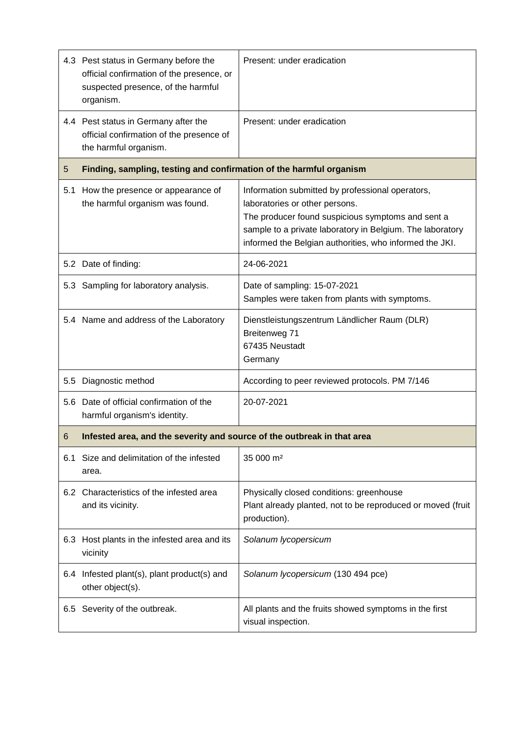|     | 4.3 Pest status in Germany before the<br>official confirmation of the presence, or<br>suspected presence, of the harmful<br>organism. | Present: under eradication                                                                                                                                                                                                                                      |
|-----|---------------------------------------------------------------------------------------------------------------------------------------|-----------------------------------------------------------------------------------------------------------------------------------------------------------------------------------------------------------------------------------------------------------------|
|     | 4.4 Pest status in Germany after the<br>official confirmation of the presence of<br>the harmful organism.                             | Present: under eradication                                                                                                                                                                                                                                      |
| 5   | Finding, sampling, testing and confirmation of the harmful organism                                                                   |                                                                                                                                                                                                                                                                 |
| 5.1 | How the presence or appearance of<br>the harmful organism was found.                                                                  | Information submitted by professional operators,<br>laboratories or other persons.<br>The producer found suspicious symptoms and sent a<br>sample to a private laboratory in Belgium. The laboratory<br>informed the Belgian authorities, who informed the JKI. |
|     | 5.2 Date of finding:                                                                                                                  | 24-06-2021                                                                                                                                                                                                                                                      |
|     | 5.3 Sampling for laboratory analysis.                                                                                                 | Date of sampling: 15-07-2021<br>Samples were taken from plants with symptoms.                                                                                                                                                                                   |
|     | 5.4 Name and address of the Laboratory                                                                                                | Dienstleistungszentrum Ländlicher Raum (DLR)<br>Breitenweg 71<br>67435 Neustadt<br>Germany                                                                                                                                                                      |
| 5.5 | Diagnostic method                                                                                                                     | According to peer reviewed protocols. PM 7/146                                                                                                                                                                                                                  |
|     | 5.6 Date of official confirmation of the<br>harmful organism's identity.                                                              | 20-07-2021                                                                                                                                                                                                                                                      |
| 6   | Infested area, and the severity and source of the outbreak in that area                                                               |                                                                                                                                                                                                                                                                 |
| 6.1 | Size and delimitation of the infested<br>area.                                                                                        | 35 000 m <sup>2</sup>                                                                                                                                                                                                                                           |
|     | 6.2 Characteristics of the infested area<br>and its vicinity.                                                                         | Physically closed conditions: greenhouse<br>Plant already planted, not to be reproduced or moved (fruit<br>production).                                                                                                                                         |
| 6.3 | Host plants in the infested area and its<br>vicinity                                                                                  | Solanum lycopersicum                                                                                                                                                                                                                                            |
|     | 6.4 Infested plant(s), plant product(s) and<br>other object(s).                                                                       | Solanum lycopersicum (130 494 pce)                                                                                                                                                                                                                              |
| 6.5 | Severity of the outbreak.                                                                                                             | All plants and the fruits showed symptoms in the first<br>visual inspection.                                                                                                                                                                                    |